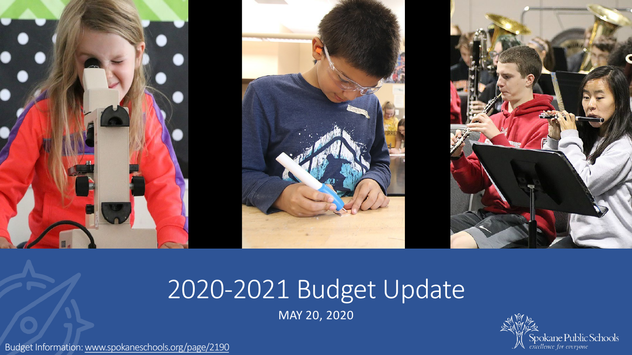

## 2020-2021 Budget Update

MAY 20, 2020



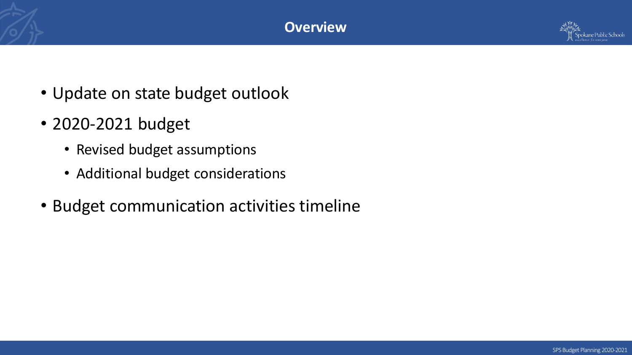

- Update on state budget outlook
- 2020-2021 budget
	- Revised budget assumptions
	- Additional budget considerations
- Budget communication activities timeline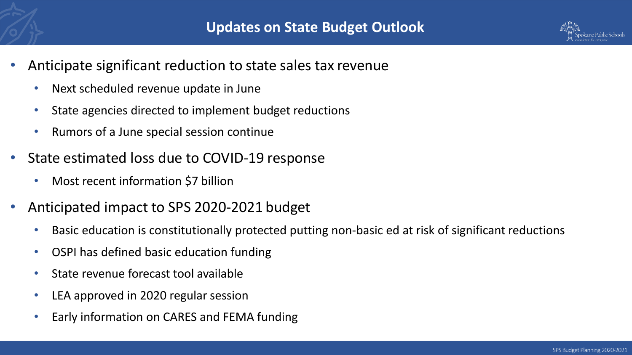

- Anticipate significant reduction to state sales tax revenue
	- Next scheduled revenue update in June
	- State agencies directed to implement budget reductions
	- Rumors of a June special session continue
- State estimated loss due to COVID-19 response
	- Most recent information \$7 billion
- Anticipated impact to SPS 2020-2021 budget
	- Basic education is constitutionally protected putting non-basic ed at risk of significant reductions
	- OSPI has defined basic education funding
	- State revenue forecast tool available
	- LEA approved in 2020 regular session
	- Early information on CARES and FEMA funding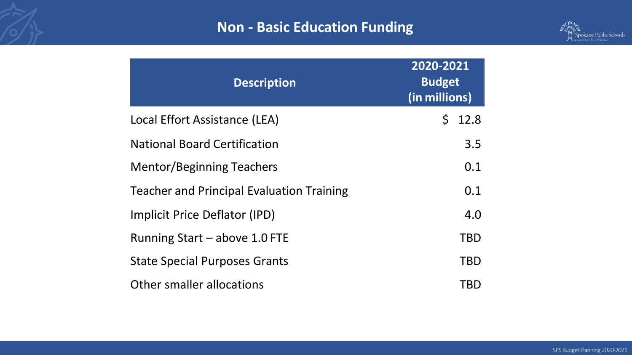# Updated Four-year Budget Forecast **Non - Basic Education Funding**



| <b>Description</b>                               | 2020-2021<br><b>Budget</b><br>(in millions) |
|--------------------------------------------------|---------------------------------------------|
| Local Effort Assistance (LEA)                    | 12.8<br>$\mathsf{S}$                        |
| <b>National Board Certification</b>              | 3.5                                         |
| <b>Mentor/Beginning Teachers</b>                 | 0.1                                         |
| <b>Teacher and Principal Evaluation Training</b> | 0.1                                         |
| Implicit Price Deflator (IPD)                    | 4.0                                         |
| Running Start - above 1.0 FTE                    | <b>TBD</b>                                  |
| <b>State Special Purposes Grants</b>             | <b>TBD</b>                                  |
| Other smaller allocations                        | TBD                                         |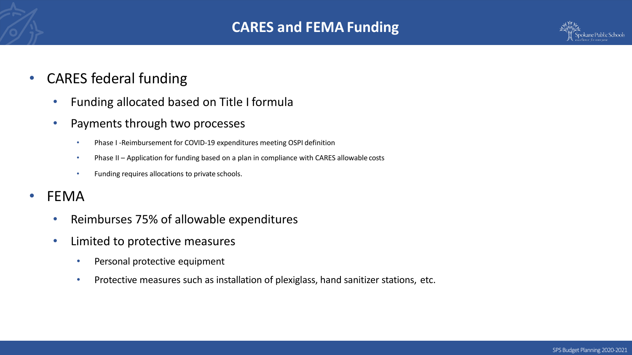

### • CARES federal funding

- Funding allocated based on Title I formula
- Payments through two processes
	- Phase I -Reimbursement for COVID-19 expenditures meeting OSPI definition
	- Phase II Application for funding based on a plan in compliance with CARES allowable costs
	- Funding requires allocations to private schools.
- FEMA
	- Reimburses 75% of allowable expenditures
	- Limited to protective measures
		- Personal protective equipment
		- Protective measures such as installation of plexiglass, hand sanitizer stations, etc.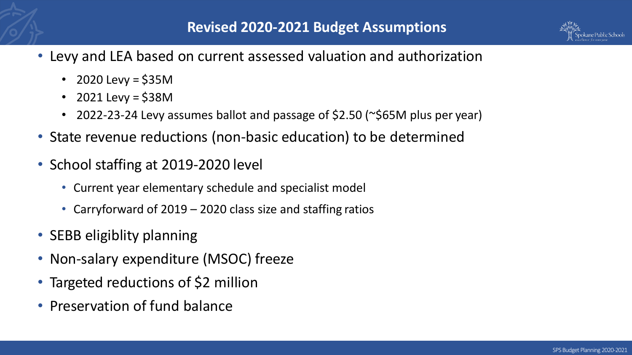- Levy and LEA based on current assessed valuation and authorization
	- 2020 Levy =  $$35M$
	- 2021 Levy =  $$38M$
	- 2022-23-24 Levy assumes ballot and passage of \$2.50 (~\$65M plus per year)
- State revenue reductions (non-basic education) to be determined
- School staffing at 2019-2020 level
	- Current year elementary schedule and specialist model
	- Carryforward of 2019 2020 class size and staffing ratios
- SEBB eligiblity planning
- Non-salary expenditure (MSOC) freeze
- Targeted reductions of \$2 million
- Preservation of fund balance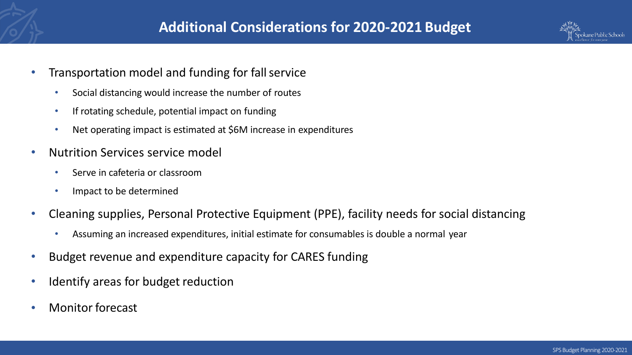

- Transportation model and funding for fall service
	- Social distancing would increase the number of routes
	- If rotating schedule, potential impact on funding
	- Net operating impact is estimated at \$6M increase in expenditures
- Nutrition Services service model
	- Serve in cafeteria or classroom
	- Impact to be determined
- Cleaning supplies, Personal Protective Equipment (PPE), facility needs for social distancing
	- Assuming an increased expenditures, initial estimate for consumables is double a normal year
- Budget revenue and expenditure capacity for CARES funding
- Identify areas for budget reduction
- Monitor forecast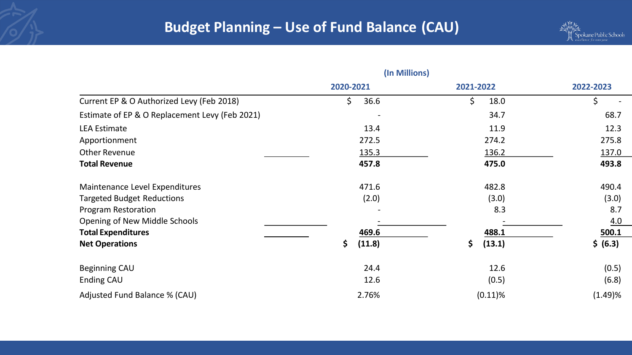

|                                                | (In Millions) |              |           |
|------------------------------------------------|---------------|--------------|-----------|
|                                                | 2020-2021     | 2021-2022    | 2022-2023 |
| Current EP & O Authorized Levy (Feb 2018)      | \$<br>36.6    | \$.<br>18.0  | \$        |
| Estimate of EP & O Replacement Levy (Feb 2021) |               | 34.7         | 68.7      |
| <b>LEA Estimate</b>                            | 13.4          | 11.9         | 12.3      |
| Apportionment                                  | 272.5         | 274.2        | 275.8     |
| <b>Other Revenue</b>                           | 135.3         | 136.2        | 137.0     |
| <b>Total Revenue</b>                           | 457.8         | 475.0        | 493.8     |
| Maintenance Level Expenditures                 | 471.6         | 482.8        | 490.4     |
| <b>Targeted Budget Reductions</b>              | (2.0)         | (3.0)        | (3.0)     |
| <b>Program Restoration</b>                     |               | 8.3          | 8.7       |
| Opening of New Middle Schools                  |               |              | 4.0       |
| <b>Total Expenditures</b>                      | 469.6         | 488.1        | 500.1     |
| <b>Net Operations</b>                          | \$<br>(11.8)  | \$<br>(13.1) | \$ (6.3)  |
| <b>Beginning CAU</b>                           | 24.4          | 12.6         | (0.5)     |
| Ending CAU                                     | 12.6          | (0.5)        | (6.8)     |
| Adjusted Fund Balance % (CAU)                  | 2.76%         | $(0.11)\%$   | (1.49)%   |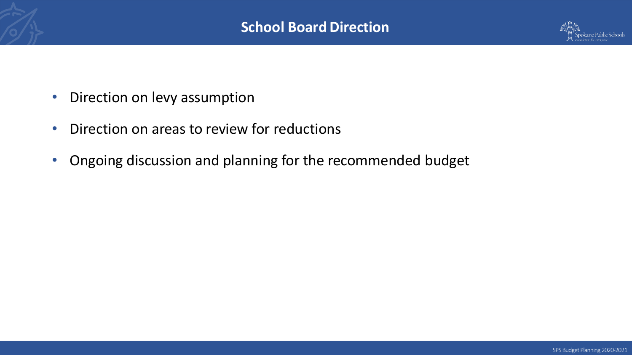

- Direction on levy assumption
- Direction on areas to review for reductions
- Ongoing discussion and planning for the recommended budget